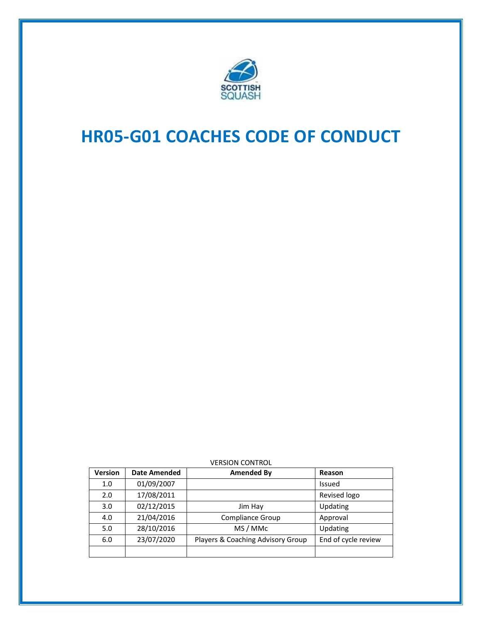

# **HR05-G01 COACHES CODE OF CONDUCT**

| <b>Version</b> | <b>Date Amended</b> | Amended By                        | Reason              |
|----------------|---------------------|-----------------------------------|---------------------|
| 1.0            | 01/09/2007          |                                   | Issued              |
| 2.0            | 17/08/2011          |                                   | Revised logo        |
| 3.0            | 02/12/2015          | Jim Hay                           | Updating            |
| 4.0            | 21/04/2016          | Compliance Group                  | Approval            |
| 5.0            | 28/10/2016          | MS / MMc                          | Updating            |
| 6.0            | 23/07/2020          | Players & Coaching Advisory Group | End of cycle review |
|                |                     |                                   |                     |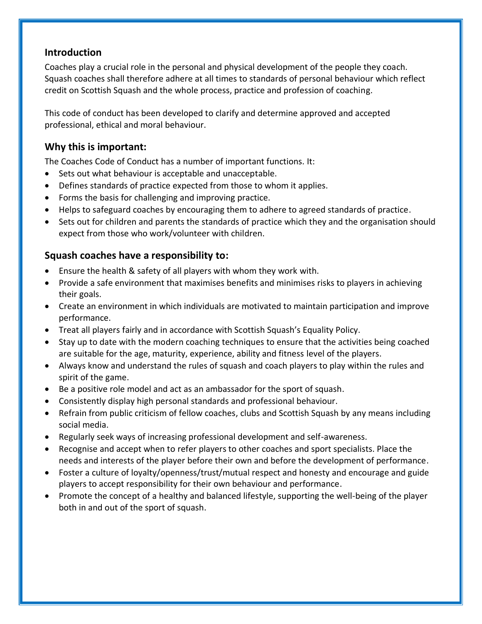#### **Introduction**

Coaches play a crucial role in the personal and physical development of the people they coach. Squash coaches shall therefore adhere at all times to standards of personal behaviour which reflect credit on Scottish Squash and the whole process, practice and profession of coaching.

This code of conduct has been developed to clarify and determine approved and accepted professional, ethical and moral behaviour.

### **Why this is important:**

The Coaches Code of Conduct has a number of important functions. It:

- Sets out what behaviour is acceptable and unacceptable.
- Defines standards of practice expected from those to whom it applies.
- Forms the basis for challenging and improving practice.
- Helps to safeguard coaches by encouraging them to adhere to agreed standards of practice.
- Sets out for children and parents the standards of practice which they and the organisation should expect from those who work/volunteer with children.

#### **Squash coaches have a responsibility to:**

- Ensure the health & safety of all players with whom they work with.
- Provide a safe environment that maximises benefits and minimises risks to players in achieving their goals.
- Create an environment in which individuals are motivated to maintain participation and improve performance.
- Treat all players fairly and in accordance with Scottish Squash's Equality Policy.
- Stay up to date with the modern coaching techniques to ensure that the activities being coached are suitable for the age, maturity, experience, ability and fitness level of the players.
- Always know and understand the rules of squash and coach players to play within the rules and spirit of the game.
- Be a positive role model and act as an ambassador for the sport of squash.
- Consistently display high personal standards and professional behaviour.
- Refrain from public criticism of fellow coaches, clubs and Scottish Squash by any means including social media.
- Regularly seek ways of increasing professional development and self-awareness.
- Recognise and accept when to refer players to other coaches and sport specialists. Place the needs and interests of the player before their own and before the development of performance.
- Foster a culture of loyalty/openness/trust/mutual respect and honesty and encourage and guide players to accept responsibility for their own behaviour and performance.
- Promote the concept of a healthy and balanced lifestyle, supporting the well-being of the player both in and out of the sport of squash.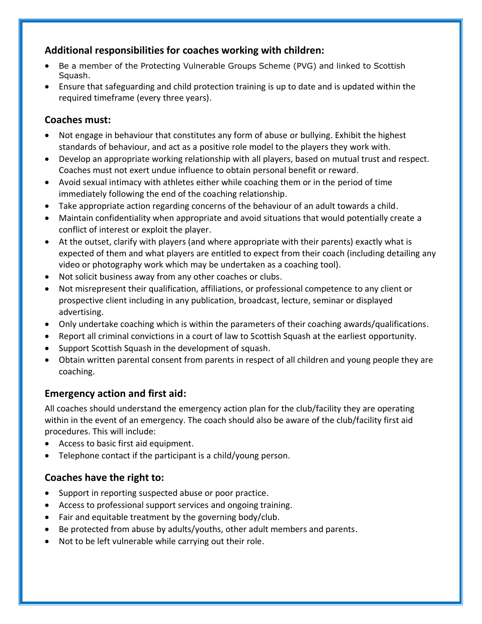### **Additional responsibilities for coaches working with children:**

- Be a member of the Protecting Vulnerable Groups Scheme (PVG) and linked to Scottish Squash.
- Ensure that safeguarding and child protection training is up to date and is updated within the required timeframe (every three years).

#### **Coaches must:**

- Not engage in behaviour that constitutes any form of abuse or bullying. Exhibit the highest standards of behaviour, and act as a positive role model to the players they work with.
- Develop an appropriate working relationship with all players, based on mutual trust and respect. Coaches must not exert undue influence to obtain personal benefit or reward.
- Avoid sexual intimacy with athletes either while coaching them or in the period of time immediately following the end of the coaching relationship.
- Take appropriate action regarding concerns of the behaviour of an adult towards a child.
- Maintain confidentiality when appropriate and avoid situations that would potentially create a conflict of interest or exploit the player.
- At the outset, clarify with players (and where appropriate with their parents) exactly what is expected of them and what players are entitled to expect from their coach (including detailing any video or photography work which may be undertaken as a coaching tool).
- Not solicit business away from any other coaches or clubs.
- Not misrepresent their qualification, affiliations, or professional competence to any client or prospective client including in any publication, broadcast, lecture, seminar or displayed advertising.
- Only undertake coaching which is within the parameters of their coaching awards/qualifications.
- Report all criminal convictions in a court of law to Scottish Squash at the earliest opportunity.
- Support Scottish Squash in the development of squash.
- Obtain written parental consent from parents in respect of all children and young people they are coaching.

# **Emergency action and first aid:**

All coaches should understand the emergency action plan for the club/facility they are operating within in the event of an emergency. The coach should also be aware of the club/facility first aid procedures. This will include:

- Access to basic first aid equipment.
- Telephone contact if the participant is a child/young person.

# **Coaches have the right to:**

- Support in reporting suspected abuse or poor practice.
- Access to professional support services and ongoing training.
- Fair and equitable treatment by the governing body/club.
- Be protected from abuse by adults/youths, other adult members and parents.
- Not to be left vulnerable while carrying out their role.